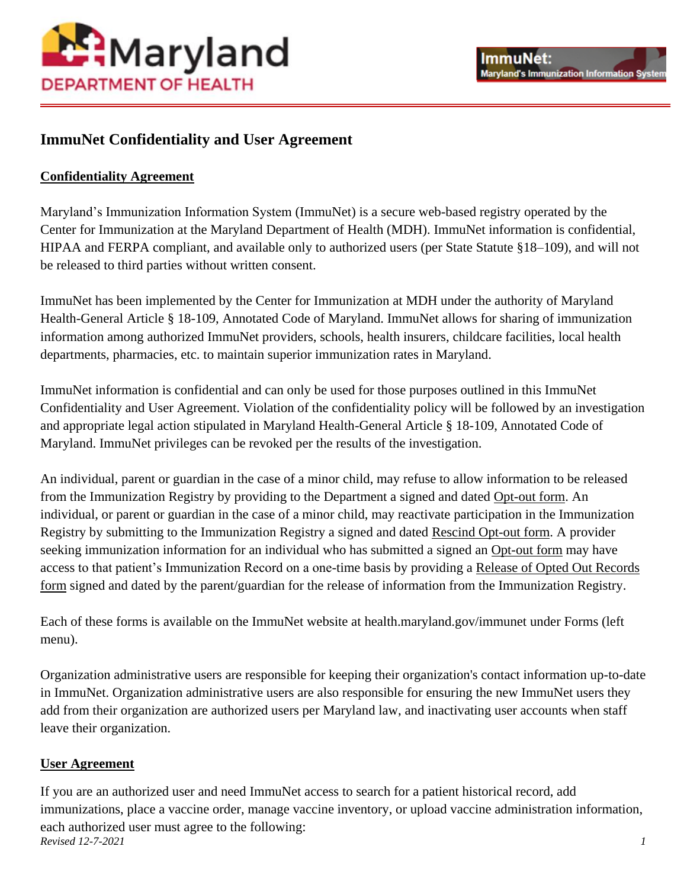

## **ImmuNet Confidentiality and User Agreement**

## **Confidentiality Agreement**

Maryland's Immunization Information System [\(ImmuNet\)](https://phpa.health.maryland.gov/OIDEOR/IMMUN/Pages/immunet.aspx) is a secure web-based registry operated by the Center for Immunization at the Maryland Department of Health (MDH). ImmuNet information is confidential, HIPAA and FERPA compliant, and available only to [authorized users](http://mgaleg.maryland.gov/mgawebsite/Laws/StatuteText?article=ghg§ion=18-109&enactments=false) (per State Statute §18–109), and will not be released to third parties without written consent.

ImmuNet has been implemented by the Center for Immunization at MDH under the authority of Maryland Health-General Article § 18-109, Annotated Code of Maryland. ImmuNet allows for sharing of immunization information among authorized ImmuNet providers, schools, health insurers, childcare facilities, local health departments, pharmacies, etc. to maintain superior immunization rates in Maryland.

ImmuNet information is confidential and can only be used for those purposes outlined in this ImmuNet Confidentiality and User Agreement. Violation of the confidentiality policy will be followed by an investigation and appropriate legal action stipulated in Maryland Health-General Article § 18-109, Annotated Code of Maryland. ImmuNet privileges can be revoked per the results of the investigation.

An individual, parent or guardian in the case of a minor child, may refuse to allow information to be released from the Immunization Registry by providing to the Department a signed and dated [Opt-out form.](https://health.maryland.gov/phpa/OIDEOR/IMMUN/Pages/optout.aspx) An individual, or parent or guardian in the case of a minor child, may reactivate participation in the Immunization Registry by submitting to the Immunization Registry a signed and dated [Rescind Opt-out form.](https://health.maryland.gov/phpa/OIDEOR/IMMUN/Pages/rescindoptout.aspx) A provider seeking immunization information for an individual who has submitted a signed an [Opt-out form](https://health.maryland.gov/phpa/OIDEOR/IMMUN/Pages/optout.aspx) may have access to that patient's Immunization Record on a one-time basis by providing a [Release of Opted Out Records](https://health.maryland.gov/phpa/OIDEOR/IMMUN/Pages/releaseoptedout.aspx)  [form](https://health.maryland.gov/phpa/OIDEOR/IMMUN/Pages/releaseoptedout.aspx) signed and dated by the parent/guardian for the release of information from the Immunization Registry.

Each of these forms is available on the ImmuNet website at health.maryland.gov/immunet under Forms (left menu).

Organization administrative users are responsible for keeping their organization's contact information up-to-date in ImmuNet. Organization administrative users are also responsible for ensuring the new ImmuNet users they add from their organization are authorized users per Maryland law, and inactivating user accounts when staff leave their organization.

## **User Agreement**

*Revised 12-7-2021 1* If you are an [authorized user](http://mgaleg.maryland.gov/mgawebsite/Laws/StatuteText?article=ghg§ion=18-109&enactments=false) and need ImmuNet access to search for a patient historical record, add immunizations, place a vaccine order, manage vaccine inventory, or upload vaccine administration information, each authorized user must agree to the following: